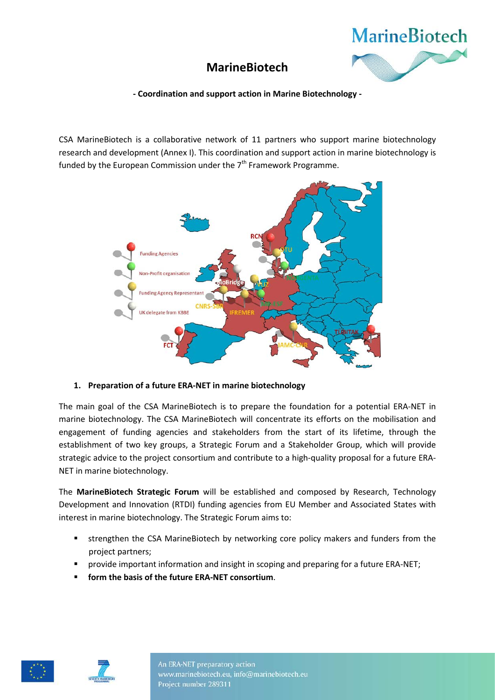

# **MarineBiotech**

**- Coordination and support action in Marine Biotechnology -**

CSA MarineBiotech is a collaborative network of 11 partners who support marine biotechnology research and development (Annex I). This coordination and support action in marine biotechnology is funded by the European Commission under the  $7<sup>th</sup>$  Framework Programme.



# **1. Preparation of a future ERA-NET in marine biotechnology**

The main goal of the CSA MarineBiotech is to prepare the foundation for a potential ERA-NET in marine biotechnology. The CSA MarineBiotech will concentrate its efforts on the mobilisation and engagement of funding agencies and stakeholders from the start of its lifetime, through the establishment of two key groups, a Strategic Forum and a Stakeholder Group, which will provide strategic advice to the project consortium and contribute to a high-quality proposal for a future ERA-NET in marine biotechnology.

The **MarineBiotech Strategic Forum** will be established and composed by Research, Technology Development and Innovation (RTDI) funding agencies from EU Member and Associated States with interest in marine biotechnology. The Strategic Forum aims to:

- strengthen the CSA MarineBiotech by networking core policy makers and funders from the project partners;
- provide important information and insight in scoping and preparing for a future ERA-NET;
- **form the basis of the future ERA-NET consortium**.





An ERA-NET preparatory action www.marinebiotech.eu, info@marinebiotech.eu Project number 289311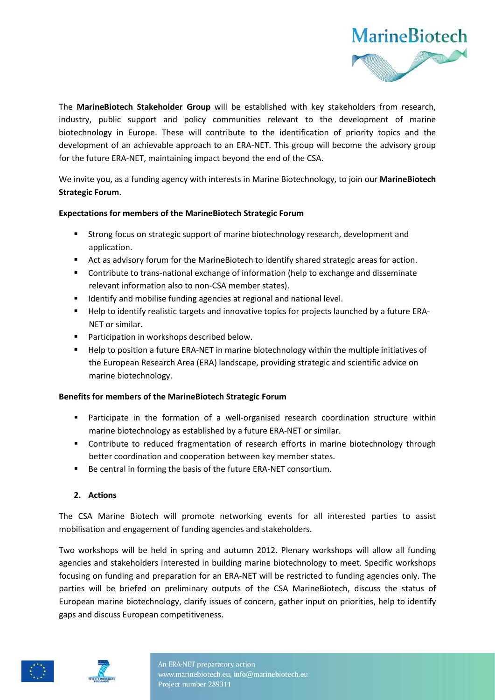

The **MarineBiotech Stakeholder Group** will be established with key stakeholders from research, industry, public support and policy communities relevant to the development of marine biotechnology in Europe. These will contribute to the identification of priority topics and the development of an achievable approach to an ERA-NET. This group will become the advisory group for the future ERA-NET, maintaining impact beyond the end of the CSA.

We invite you, as a funding agency with interests in Marine Biotechnology, to join our **MarineBiotech Strategic Forum**.

### **Expectations for members of the MarineBiotech Strategic Forum**

- Strong focus on strategic support of marine biotechnology research, development and application.
- Act as advisory forum for the MarineBiotech to identify shared strategic areas for action.
- **Contribute to trans-national exchange of information (help to exchange and disseminate** relevant information also to non-CSA member states).
- Identify and mobilise funding agencies at regional and national level.
- Help to identify realistic targets and innovative topics for projects launched by a future ERA-NET or similar.
- **Participation in workshops described below.**
- **Help to position a future ERA-NET in marine biotechnology within the multiple initiatives of** the European Research Area (ERA) landscape, providing strategic and scientific advice on marine biotechnology.

# **Benefits for members of the MarineBiotech Strategic Forum**

- Participate in the formation of a well-organised research coordination structure within marine biotechnology as established by a future ERA-NET or similar.
- **Contribute to reduced fragmentation of research efforts in marine biotechnology through** better coordination and cooperation between key member states.
- Be central in forming the basis of the future ERA-NET consortium.

# **2. Actions**

The CSA Marine Biotech will promote networking events for all interested parties to assist mobilisation and engagement of funding agencies and stakeholders.

Two workshops will be held in spring and autumn 2012. Plenary workshops will allow all funding agencies and stakeholders interested in building marine biotechnology to meet. Specific workshops focusing on funding and preparation for an ERA-NET will be restricted to funding agencies only. The parties will be briefed on preliminary outputs of the CSA MarineBiotech, discuss the status of European marine biotechnology, clarify issues of concern, gather input on priorities, help to identify gaps and discuss European competitiveness.



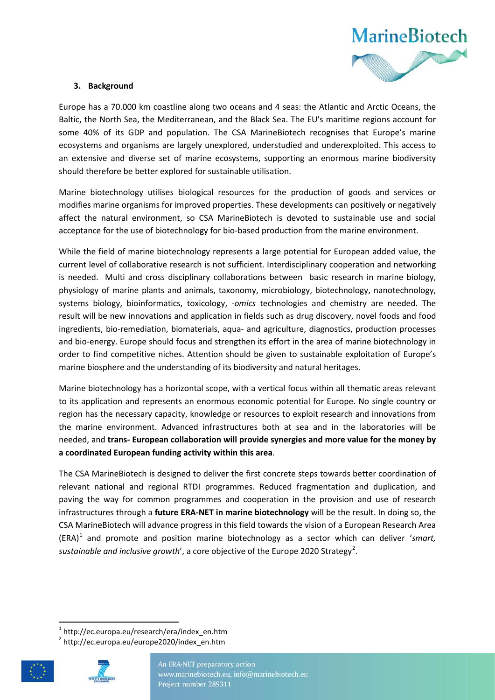

### **3. Background**

Europe has a 70.000 km coastline along two oceans and 4 seas: the Atlantic and Arctic Oceans, the Baltic, the North Sea, the Mediterranean, and the Black Sea. The EU's maritime regions account for some 40% of its GDP and population. The CSA MarineBiotech recognises that Europe's marine ecosystems and organisms are largely unexplored, understudied and underexploited. This access to an extensive and diverse set of marine ecosystems, supporting an enormous marine biodiversity should therefore be better explored for sustainable utilisation.

Marine biotechnology utilises biological resources for the production of goods and services or modifies marine organisms for improved properties. These developments can positively or negatively affect the natural environment, so CSA MarineBiotech is devoted to sustainable use and social acceptance for the use of biotechnology for bio-based production from the marine environment.

While the field of marine biotechnology represents a large potential for European added value, the current level of collaborative research is not sufficient. Interdisciplinary cooperation and networking is needed. Multi and cross disciplinary collaborations between basic research in marine biology, physiology of marine plants and animals, taxonomy, microbiology, biotechnology, nanotechnology, systems biology, bioinformatics, toxicology, *-omics* technologies and chemistry are needed. The result will be new innovations and application in fields such as drug discovery, novel foods and food ingredients, bio-remediation, biomaterials, aqua- and agriculture, diagnostics, production processes and bio-energy. Europe should focus and strengthen its effort in the area of marine biotechnology in order to find competitive niches. Attention should be given to sustainable exploitation of Europe's marine biosphere and the understanding of its biodiversity and natural heritages.

Marine biotechnology has a horizontal scope, with a vertical focus within all thematic areas relevant to its application and represents an enormous economic potential for Europe. No single country or region has the necessary capacity, knowledge or resources to exploit research and innovations from the marine environment. Advanced infrastructures both at sea and in the laboratories will be needed, and **trans- European collaboration will provide synergies and more value for the money by a coordinated European funding activity within this area**.

The CSA MarineBiotech is designed to deliver the first concrete steps towards better coordination of relevant national and regional RTDI programmes. Reduced fragmentation and duplication, and paving the way for common programmes and cooperation in the provision and use of research infrastructures through a **future ERA-NET in marine biotechnology** will be the result. In doing so, the CSA MarineBiotech will advance progress in this field towards the vision of a European Research Area  $(ERA)^1$  $(ERA)^1$  and promote and position marine biotechnology as a sector which can deliver 'smart, sustainable and inclusive growth', a core objective of the Europe [2](#page-2-1)020 Strategy<sup>2</sup>.

<span id="page-2-1"></span><span id="page-2-0"></span><sup>2</sup> http://ec.europa.eu/europe2020/index\_en.htm





 $1$  http://ec.europa.eu/research/era/index\_en.htm